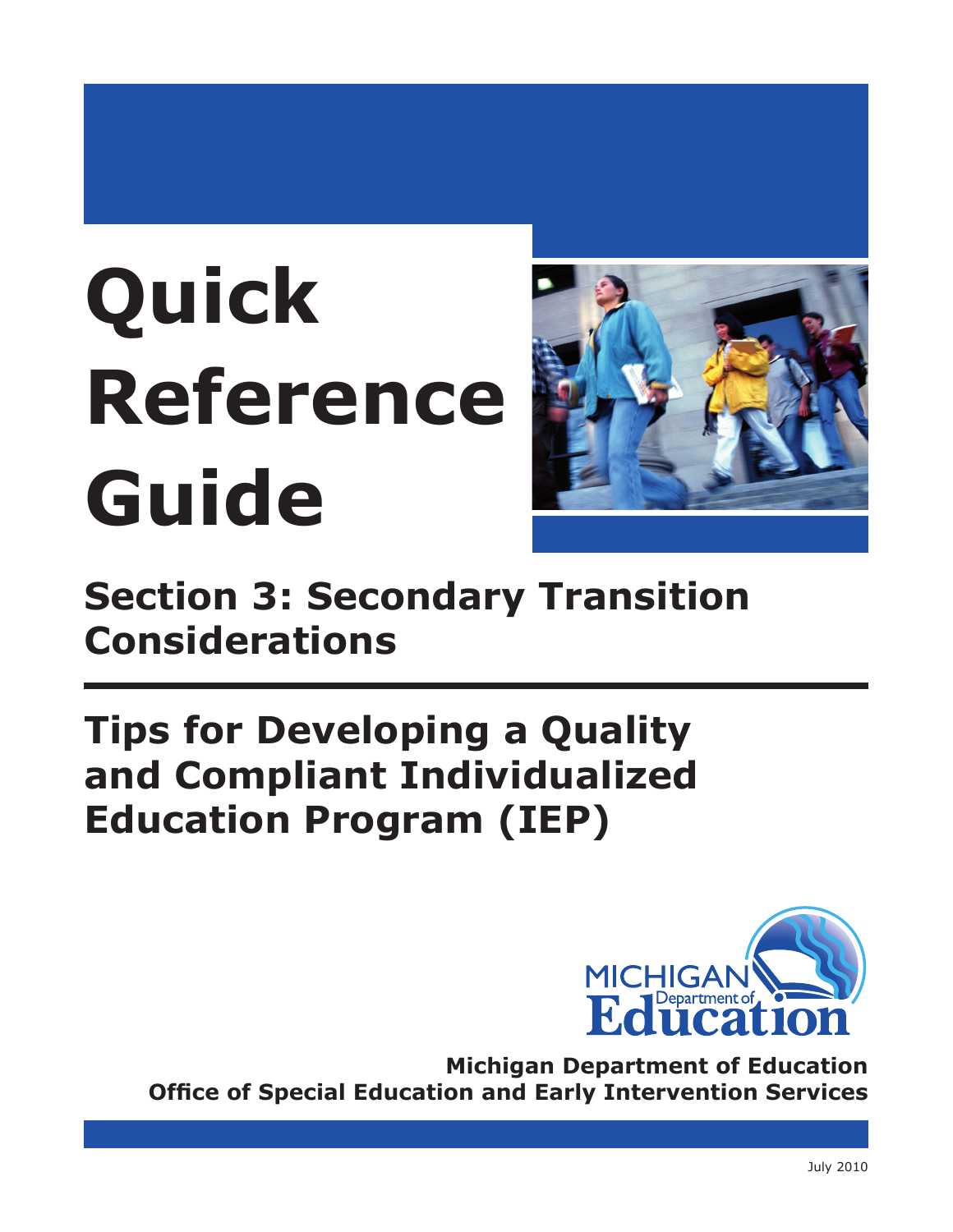# **Quick Reference Guide**



**Section 3: Secondary Transition Considerations**

# **Tips for Developing a Quality and Compliant Individualized Education Program (IEP)**



**Michigan Department of Education Office of Special Education and Early Intervention Services**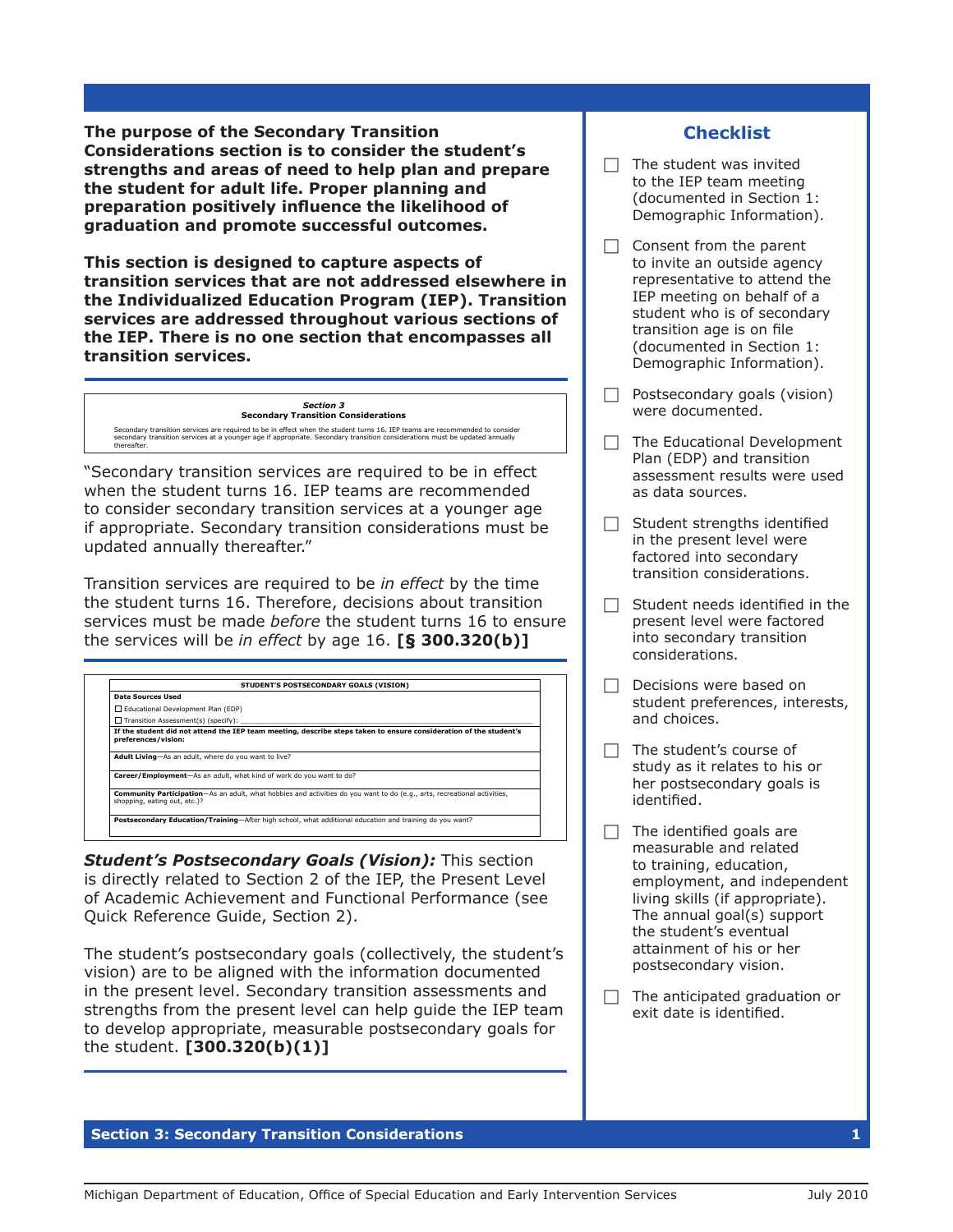**The purpose of the Secondary Transition Considerations section is to consider the student's strengths and areas of need to help plan and prepare the student for adult life. Proper planning and preparation positively influence the likelihood of graduation and promote successful outcomes.** 

**This section is designed to capture aspects of transition services that are not addressed elsewhere in the Individualized Education Program (IEP). Transition services are addressed throughout various sections of the IEP. There is no one section that encompasses all transition services.**

# *Section 3*  **Secondary Transition Considerations**

Secondary transition services are required to be in effect when the student turns 16. IEP teams are recommended to consider<br>secondary transition services at a younger age if appropriate. Secondary transition considerations

"Secondary transition services are required to be in effect when the student turns 16. IEP teams are recommended to consider secondary transition services at a younger age if appropriate. Secondary transition considerations must be updated annually thereafter."

Transition services are required to be *in effect* by the time the student turns 16. Therefore, decisions about transition services must be made *before* the student turns 16 to ensure the services will be *in effect* by age 16. **[§ 300.320(b)]**



*Student's Postsecondary Goals (Vision):* This section is directly related to Section 2 of the IEP, the Present Level of Academic Achievement and Functional Performance (see Quick Reference Guide, Section 2).

The student's postsecondary goals (collectively, the student's vision) are to be aligned with the information documented in the present level. Secondary transition assessments and strengths from the present level can help guide the IEP team to develop appropriate, measurable postsecondary goals for the student. **[300.320(b)(1)]**

# $\Box$  The student was invited

to the IEP team meeting (documented in Section 1: Demographic Information).

**Checklist**

- $\Box$  Consent from the parent to invite an outside agency representative to attend the IEP meeting on behalf of a student who is of secondary transition age is on file (documented in Section 1: Demographic Information).
- $\Box$  Postsecondary goals (vision) were documented.
- $\Box$  The Educational Development Plan (EDP) and transition assessment results were used as data sources.
- $\Box$  Student strengths identified in the present level were factored into secondary transition considerations.
- $\Box$  Student needs identified in the present level were factored into secondary transition considerations.
- $\Box$  Decisions were based on student preferences, interests, and choices.
- $\Box$  The student's course of study as it relates to his or her postsecondary goals is identified.
- $\Box$  The identified goals are measurable and related to training, education, employment, and independent living skills (if appropriate). The annual goal(s) support the student's eventual attainment of his or her postsecondary vision.
- $\Box$  The anticipated graduation or exit date is identified.

**Section 3: Secondary Transition Considerations 1**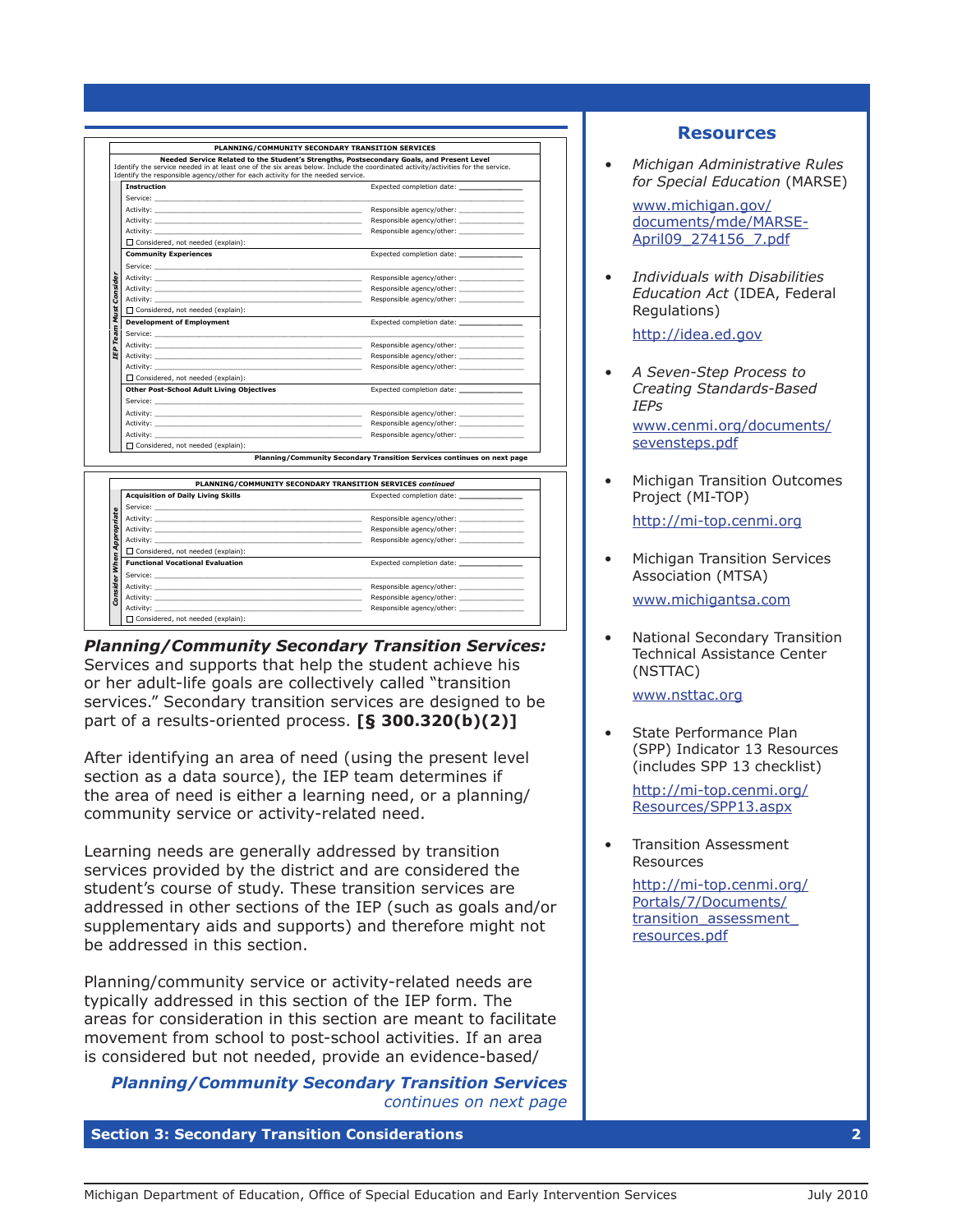|               |                                                                                                                                                                                                                                | PLANNING/COMMUNITY SECONDARY TRANSITION SERVICES                                                                                                                                                                              |
|---------------|--------------------------------------------------------------------------------------------------------------------------------------------------------------------------------------------------------------------------------|-------------------------------------------------------------------------------------------------------------------------------------------------------------------------------------------------------------------------------|
|               | Identify the responsible agency/other for each activity for the needed service.                                                                                                                                                | Needed Service Related to the Student's Strengths, Postsecondary Goals, and Present Level<br>Identify the service needed in at least one of the six areas below. Include the coordinated activity/activities for the service. |
|               | <b>Instruction</b>                                                                                                                                                                                                             |                                                                                                                                                                                                                               |
|               |                                                                                                                                                                                                                                |                                                                                                                                                                                                                               |
|               |                                                                                                                                                                                                                                | Responsible agency/other:                                                                                                                                                                                                     |
|               | Activity:                                                                                                                                                                                                                      | Responsible agency/other:                                                                                                                                                                                                     |
|               | Activity:                                                                                                                                                                                                                      | Responsible agency/other:                                                                                                                                                                                                     |
|               | Considered, not needed (explain):                                                                                                                                                                                              |                                                                                                                                                                                                                               |
|               | <b>Community Experiences</b>                                                                                                                                                                                                   |                                                                                                                                                                                                                               |
|               | Service: The Service of the Service of the Service of the Service of the Service of the Service of the Service                                                                                                                 |                                                                                                                                                                                                                               |
|               | Activity: Activity:                                                                                                                                                                                                            | Responsible agency/other:                                                                                                                                                                                                     |
|               | Activity: Activity:                                                                                                                                                                                                            | Responsible agency/other:                                                                                                                                                                                                     |
| Consider      | Activity:                                                                                                                                                                                                                      | Responsible agency/other:                                                                                                                                                                                                     |
| Must          | Considered, not needed (explain):                                                                                                                                                                                              |                                                                                                                                                                                                                               |
| Team          | <b>Development of Employment</b>                                                                                                                                                                                               |                                                                                                                                                                                                                               |
|               |                                                                                                                                                                                                                                |                                                                                                                                                                                                                               |
|               |                                                                                                                                                                                                                                | Responsible agency/other:                                                                                                                                                                                                     |
| <b>C</b>      | Activity: Activity:                                                                                                                                                                                                            | Responsible agency/other:<br>the control of the control of the control of                                                                                                                                                     |
|               | Activity:                                                                                                                                                                                                                      | Responsible agency/other:                                                                                                                                                                                                     |
|               | □ Considered, not needed (explain):                                                                                                                                                                                            |                                                                                                                                                                                                                               |
|               | <b>Other Post-School Adult Living Objectives</b>                                                                                                                                                                               | Expected completion date: ___                                                                                                                                                                                                 |
|               | Service:                                                                                                                                                                                                                       |                                                                                                                                                                                                                               |
|               |                                                                                                                                                                                                                                | Responsible agency/other:                                                                                                                                                                                                     |
|               |                                                                                                                                                                                                                                | Responsible agency/other:                                                                                                                                                                                                     |
|               | Activity:                                                                                                                                                                                                                      | Responsible agency/other:                                                                                                                                                                                                     |
|               | □ Considered, not needed (explain):                                                                                                                                                                                            |                                                                                                                                                                                                                               |
|               |                                                                                                                                                                                                                                | Planning/Community Secondary Transition Services continues on next page                                                                                                                                                       |
|               |                                                                                                                                                                                                                                | PLANNING/COMMUNITY SECONDARY TRANSITION SERVICES continued                                                                                                                                                                    |
|               | <b>Acquisition of Daily Living Skills</b>                                                                                                                                                                                      | Expected completion date: ____________                                                                                                                                                                                        |
|               |                                                                                                                                                                                                                                |                                                                                                                                                                                                                               |
| Appropriate   |                                                                                                                                                                                                                                | Responsible agency/other:                                                                                                                                                                                                     |
|               |                                                                                                                                                                                                                                | Responsible agency/other:                                                                                                                                                                                                     |
|               | Activity:                                                                                                                                                                                                                      |                                                                                                                                                                                                                               |
|               | $\Box$ Considered, not needed (explain):                                                                                                                                                                                       |                                                                                                                                                                                                                               |
| Consider When | <b>Functional Vocational Evaluation</b>                                                                                                                                                                                        |                                                                                                                                                                                                                               |
|               | Service: The contract of the contract of the contract of the contract of the contract of the contract of the contract of the contract of the contract of the contract of the contract of the contract of the contract of the c |                                                                                                                                                                                                                               |
|               |                                                                                                                                                                                                                                | Responsible agency/other:                                                                                                                                                                                                     |
|               |                                                                                                                                                                                                                                |                                                                                                                                                                                                                               |
|               |                                                                                                                                                                                                                                | Responsible agency/other:                                                                                                                                                                                                     |

*Planning/Community Secondary Transition Services:*  Services and supports that help the student achieve his or her adult-life goals are collectively called "transition services." Secondary transition services are designed to be part of a results-oriented process. **[§ 300.320(b)(2)]**

After identifying an area of need (using the present level section as a data source), the IEP team determines if the area of need is either a learning need, or a planning/ community service or activity-related need.

Learning needs are generally addressed by transition services provided by the district and are considered the student's course of study. These transition services are addressed in other sections of the IEP (such as goals and/or supplementary aids and supports) and therefore might not be addressed in this section.

Planning/community service or activity-related needs are typically addressed in this section of the IEP form. The areas for consideration in this section are meant to facilitate movement from school to post-school activities. If an area is considered but not needed, provide an evidence-based/

*Planning/Community Secondary Transition Services continues on next page* 

**Section 3: Secondary Transition Considerations 2**

## **Resources**

*• Michigan Administrative Rules for Special Education* (MARSE)

[www.michigan.gov/](http://www.michigan.gov/documents/mde/MARSE-April09_274156_7.pdf) [documents/mde/MARSE-](http://www.michigan.gov/documents/mde/MARSE-April09_274156_7.pdf)[April09\\_274156\\_7.pd](http://www.michigan.gov/documents/mde/MARSE-April09_274156_7.pdf)f

*• Individuals with Disabilities Education Act* (IDEA, Federal Regulations)

[http://idea.ed.gov](http://idea.ed.gov/explore/view/p/%2Croot%2Cregs%2C)

*• A Seven-Step Process to Creating Standards-Based IEPs*

[www.cenmi.org/documents/](www.cenmi.org/documents/sevensteps.pdf) [sevensteps.pd](www.cenmi.org/documents/sevensteps.pdf)f

- Michigan Transition Outcomes Project (MI-TOP) <http://mi-top.cenmi.org>
- Michigan Transition Services Association (MTSA) [www.michigantsa.co](www.michigantsa.com)m

• National Secondary Transition Technical Assistance Center

<www.nsttac.org>

(NSTTAC)

• [State Performance Plan](www.nsttac.org)  [\(SPP\) Indicator 13 Resources](www.nsttac.org)  [\(includes SPP 13 checklist\)](www.nsttac.org)

[http://mi-top.cenmi.org/](http://mi-top.cenmi.org/Resources/SPP13.aspx) [Resources/SPP13.aspx](http://mi-top.cenmi.org/Resources/SPP13.aspx)

• Transition Assessment Resources

> [http://mi-top.cenmi.org/](http://mi-top.cenmi.org/Portals/7/Documents/transition_assessment_resources.pdf) [Portals/7/Documents/](http://mi-top.cenmi.org/Portals/7/Documents/transition_assessment_resources.pdf) transition\_assessment [resources.pd](http://mi-top.cenmi.org/Portals/7/Documents/transition_assessment_resources.pdf)f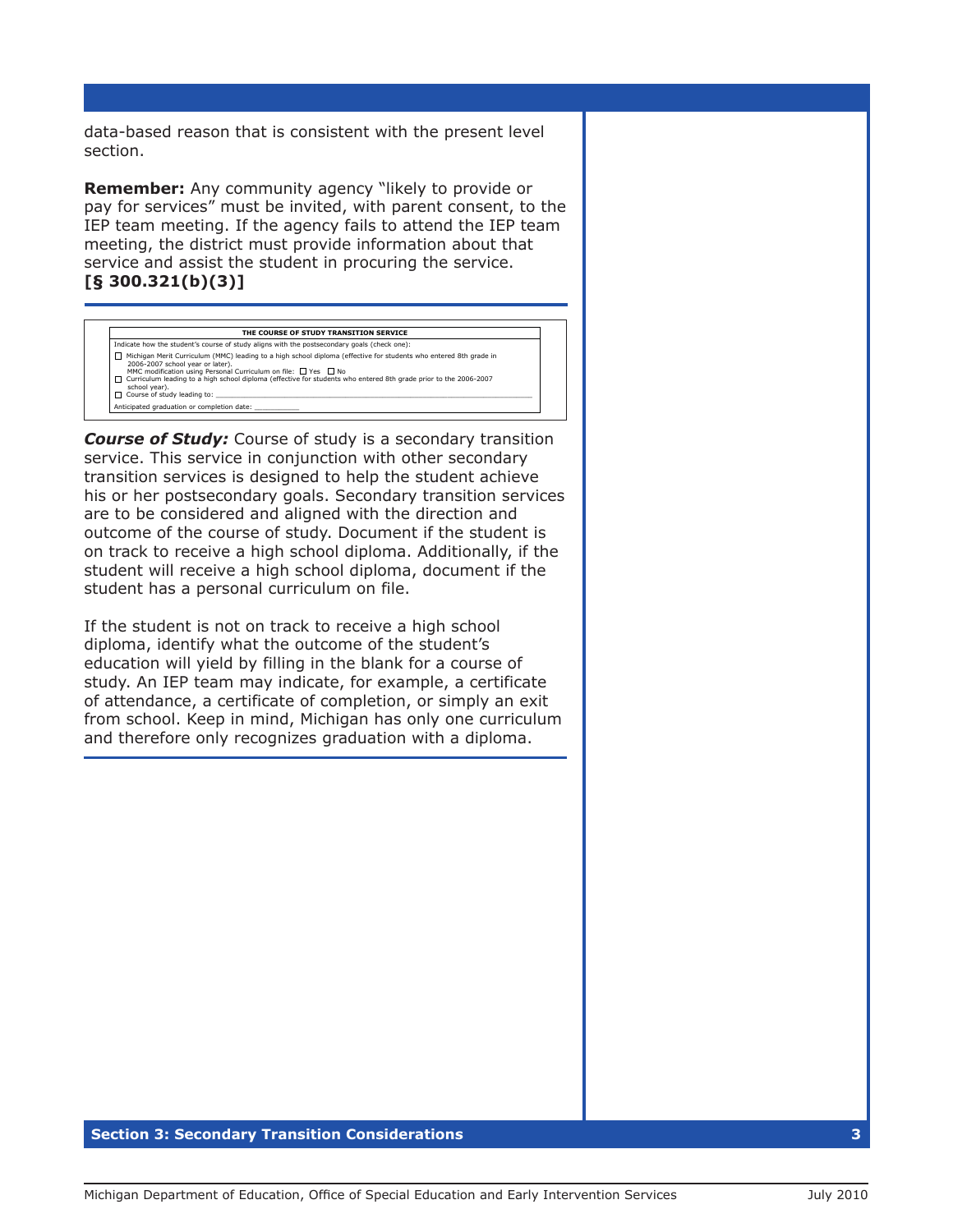data-based reason that is consistent with the present level section.

**Remember:** Any community agency "likely to provide or pay for services" must be invited, with parent consent, to the IEP team meeting. If the agency fails to attend the IEP team meeting, the district must provide information about that service and assist the student in procuring the service. **[§ 300.321(b)(3)]**

| THE COURSE OF STUDY TRANSITION SERVICE                                                                                                                                                                                                                                                                                                                                                                 |  |  |  |
|--------------------------------------------------------------------------------------------------------------------------------------------------------------------------------------------------------------------------------------------------------------------------------------------------------------------------------------------------------------------------------------------------------|--|--|--|
| Indicate how the student's course of study aligns with the postsecondary goals (check one):                                                                                                                                                                                                                                                                                                            |  |  |  |
| Michigan Merit Curriculum (MMC) leading to a high school diploma (effective for students who entered 8th grade in<br>$\mathbf{L}$<br>2006-2007 school year or later).<br>MMC modification using Personal Curriculum on file: $\Box$ Yes $\Box$ No<br>Curriculum leading to a high school diploma (effective for students who entered 8th grade prior to the 2006-2007<br>$\mathbf{L}$<br>school year). |  |  |  |
| □ Course of study leading to:                                                                                                                                                                                                                                                                                                                                                                          |  |  |  |
| Anticipated graduation or completion date:                                                                                                                                                                                                                                                                                                                                                             |  |  |  |
|                                                                                                                                                                                                                                                                                                                                                                                                        |  |  |  |

*Course of Study:* Course of study is a secondary transition service. This service in conjunction with other secondary transition services is designed to help the student achieve his or her postsecondary goals. Secondary transition services are to be considered and aligned with the direction and outcome of the course of study. Document if the student is on track to receive a high school diploma. Additionally, if the student will receive a high school diploma, document if the student has a personal curriculum on file.

If the student is not on track to receive a high school diploma, identify what the outcome of the student's education will yield by filling in the blank for a course of study. An IEP team may indicate, for example, a certificate of attendance, a certificate of completion, or simply an exit from school. Keep in mind, Michigan has only one curriculum and therefore only recognizes graduation with a diploma.

#### **Section 3: Secondary Transition Considerations 3**